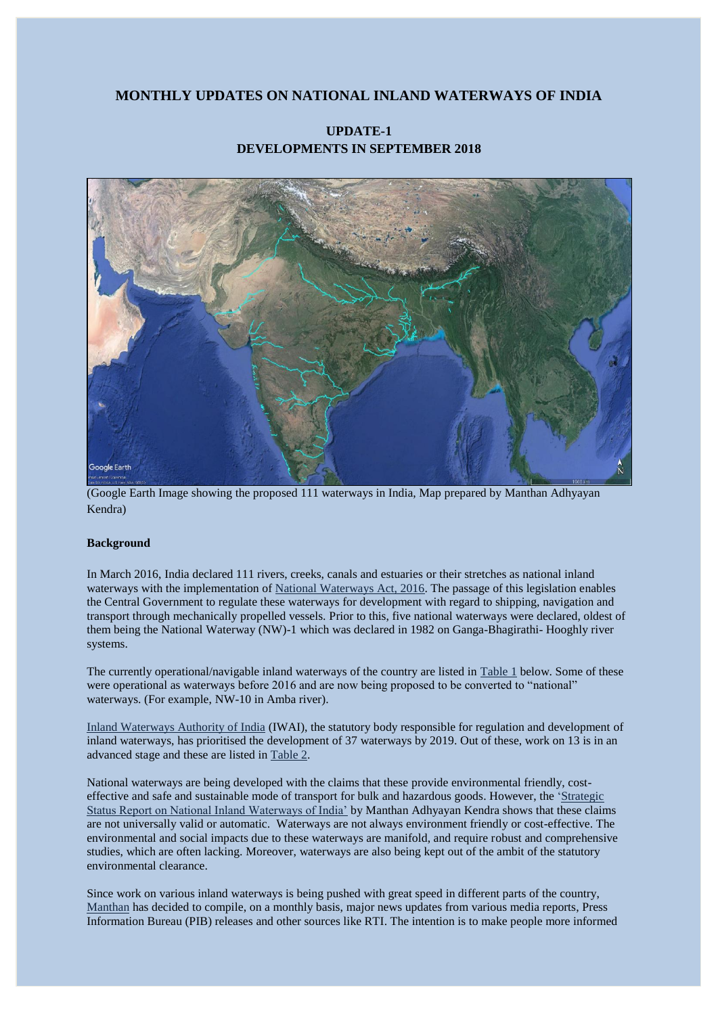# **MONTHLY UPDATES ON NATIONAL INLAND WATERWAYS OF INDIA**

# Google Earth

# **UPDATE-1 DEVELOPMENTS IN SEPTEMBER 2018**

(Google Earth Image showing the proposed 111 waterways in India, Map prepared by Manthan Adhyayan Kendra)

## **Background**

In March 2016, India declared 111 rivers, creeks, canals and estuaries or their stretches as national inland waterways with the implementation of [National Waterways Act, 2016.](http://egazette.nic.in/WriteReadData/2016/168716.pdf) The passage of this legislation enables the Central Government to regulate these waterways for development with regard to shipping, navigation and transport through mechanically propelled vessels. Prior to this, five national waterways were declared, oldest of them being the National Waterway (NW)-1 which was declared in 1982 on Ganga-Bhagirathi- Hooghly river systems.

The currently operational/navigable inland waterways of the country are listed in [Table 1](#page-1-0) below. Some of these were operational as waterways before 2016 and are now being proposed to be converted to "national" waterways. (For example, NW-10 in Amba river).

[Inland Waterways Authority of India](http://iwai.nic.in/) (IWAI), the statutory body responsible for regulation and development of inland waterways, has prioritised the development of 37 waterways by 2019. Out of these, work on 13 is in an advanced stage and these are listed in [Table 2.](#page-1-1)

National waterways are being developed with the claims that these provide environmental friendly, costeffective and safe and sustainable mode of transport for bulk and hazardous goods. However, the ['Strategic](http://www.manthan-india.org/wp-content/uploads/2018/04/Strategic-Status-Report-on-Inland-Waterways-V5-26-Apr-17-FINAL.pdf)  [Status Report on National Inland Waterways of India'](http://www.manthan-india.org/wp-content/uploads/2018/04/Strategic-Status-Report-on-Inland-Waterways-V5-26-Apr-17-FINAL.pdf) by Manthan Adhyayan Kendra shows that these claims are not universally valid or automatic. Waterways are not always environment friendly or cost-effective. The environmental and social impacts due to these waterways are manifold, and require robust and comprehensive studies, which are often lacking. Moreover, waterways are also being kept out of the ambit of the statutory environmental clearance.

Since work on various inland waterways is being pushed with great speed in different parts of the country, [Manthan](http://www.manthan-india.org/) has decided to compile, on a monthly basis, major news updates from various media reports, Press Information Bureau (PIB) releases and other sources like RTI. The intention is to make people more informed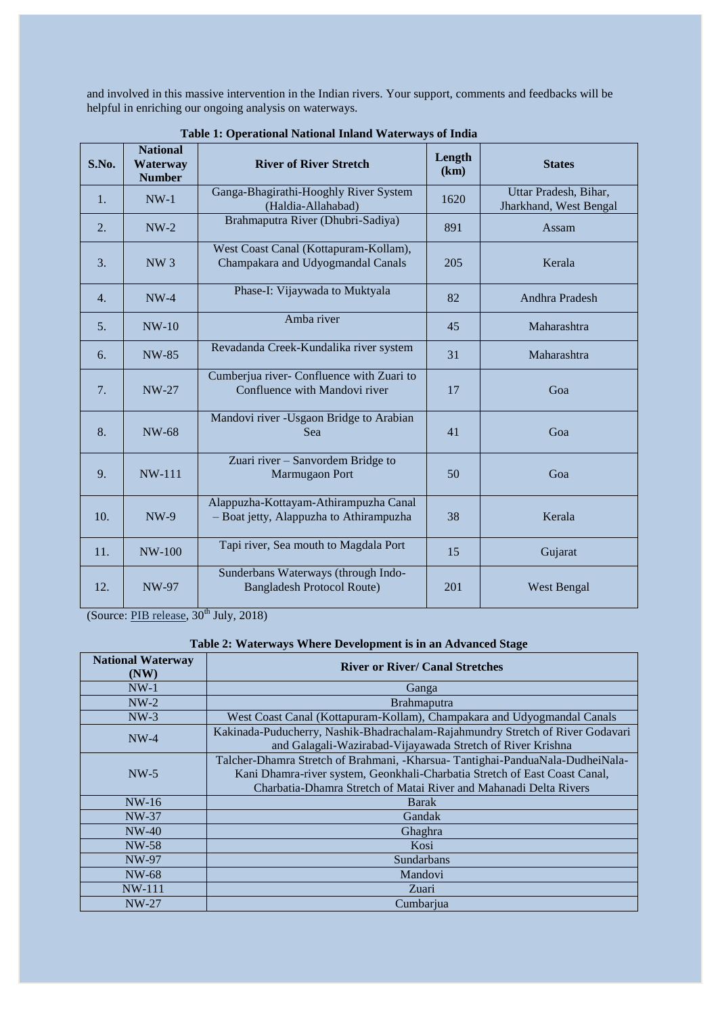and involved in this massive intervention in the Indian rivers. Your support, comments and feedbacks will be helpful in enriching our ongoing analysis on waterways.

<span id="page-1-0"></span>

| S.No. | <b>National</b><br>Waterway<br><b>Number</b> | <b>River of River Stretch</b>                                                    | Length<br>(km) | <b>States</b>                                   |
|-------|----------------------------------------------|----------------------------------------------------------------------------------|----------------|-------------------------------------------------|
| 1.    | $NW-1$                                       | Ganga-Bhagirathi-Hooghly River System<br>(Haldia-Allahabad)                      | 1620           | Uttar Pradesh, Bihar,<br>Jharkhand, West Bengal |
| 2.    | $NW-2$                                       | Brahmaputra River (Dhubri-Sadiya)                                                | 891            | Assam                                           |
| 3.    | NW <sub>3</sub>                              | West Coast Canal (Kottapuram-Kollam),<br>Champakara and Udyogmandal Canals       | 205            | Kerala                                          |
| 4.    | $NW-4$                                       | Phase-I: Vijaywada to Muktyala                                                   | 82             | Andhra Pradesh                                  |
| 5.    | $NW-10$                                      | Amba river                                                                       | 45             | Maharashtra                                     |
| 6.    | NW-85                                        | Revadanda Creek-Kundalika river system                                           | 31             | Maharashtra                                     |
| 7.    | <b>NW-27</b>                                 | Cumberjua river- Confluence with Zuari to<br>Confluence with Mandovi river       | 17             | Goa                                             |
| 8.    | <b>NW-68</b>                                 | Mandovi river -Usgaon Bridge to Arabian<br>Sea                                   | 41             | Goa                                             |
| 9.    | <b>NW-111</b>                                | Zuari river - Sanvordem Bridge to<br>Marmugaon Port                              | 50             | Goa                                             |
| 10.   | <b>NW-9</b>                                  | Alappuzha-Kottayam-Athirampuzha Canal<br>- Boat jetty, Alappuzha to Athirampuzha | 38             | Kerala                                          |
| 11.   | $NW-100$                                     | Tapi river, Sea mouth to Magdala Port                                            | 15             | Gujarat                                         |
| 12.   | NW-97                                        | Sunderbans Waterways (through Indo-<br><b>Bangladesh Protocol Route)</b>         | 201            | <b>West Bengal</b>                              |

**Table 1: Operational National Inland Waterways of India**

(Source: PIB [release,](http://pib.nic.in/PressReleseDetail.aspx?PRID=1540683)  $30^{th}$  July, 2018)

# **Table 2: Waterways Where Development is in an Advanced Stage**

<span id="page-1-1"></span>

| <b>National Waterway</b><br>(NW) | <b>River or River/ Canal Stretches</b>                                         |  |  |
|----------------------------------|--------------------------------------------------------------------------------|--|--|
| $NW-1$                           | Ganga                                                                          |  |  |
| $NW-2$                           | <b>Brahmaputra</b>                                                             |  |  |
| $NW-3$                           | West Coast Canal (Kottapuram-Kollam), Champakara and Udyogmandal Canals        |  |  |
| $NW-4$                           | Kakinada-Puducherry, Nashik-Bhadrachalam-Rajahmundry Stretch of River Godavari |  |  |
|                                  | and Galagali-Wazirabad-Vijayawada Stretch of River Krishna                     |  |  |
|                                  | Talcher-Dhamra Stretch of Brahmani, -Kharsua- Tantighai-PanduaNala-DudheiNala- |  |  |
| $NW-5$                           | Kani Dhamra-river system, Geonkhali-Charbatia Stretch of East Coast Canal,     |  |  |
|                                  | Charbatia-Dhamra Stretch of Matai River and Mahanadi Delta Rivers              |  |  |
| $NW-16$                          | Barak                                                                          |  |  |
| NW-37                            | Gandak                                                                         |  |  |
| $NW-40$                          | Ghaghra                                                                        |  |  |
| NW-58                            | Kosi                                                                           |  |  |
| NW-97                            | Sundarbans                                                                     |  |  |
| NW-68                            | Mandovi                                                                        |  |  |
| $NW-111$                         | Zuari                                                                          |  |  |
| $NW-27$                          | Cumbarjua                                                                      |  |  |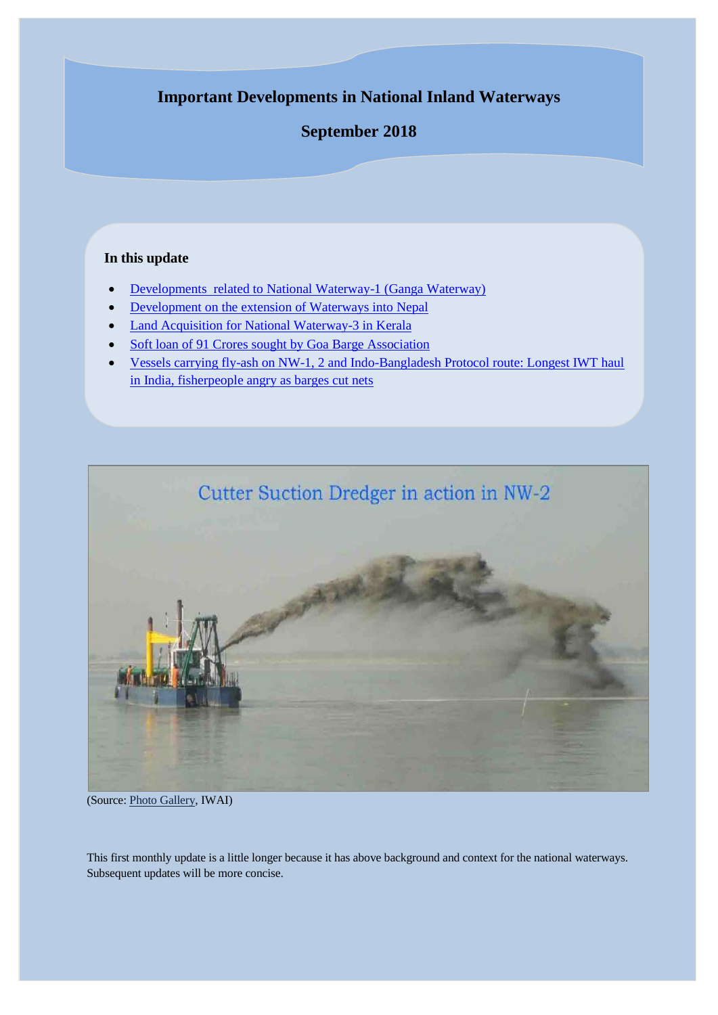# **Important Developments in National Inland Waterways**

# **September 2018**

# **In this update**

- [Developments related to](#page-3-0) National Waterway-1 (Ganga Waterway)
- [Development on the extension of Waterways into](#page-4-0) Nepal
- [Land Acquisition for National Waterway-3 in Kerala](#page-5-0)
- [Soft loan of 91 Crores sought by Goa Barge Association](#page-5-1)
- [Vessels carrying fly-ash on NW-1, 2 and Indo-Bangladesh Protocol route: Longest IWT haul](#page-5-2)  [in India, fisherpeople angry as barges cut nets](#page-5-2)



(Source[: Photo Gallery,](,%20http:/iwai.nic.in/photoshow.php?cat_id=60) IWAI)

This first monthly update is a little longer because it has above background and context for the national waterways. Subsequent updates will be more concise.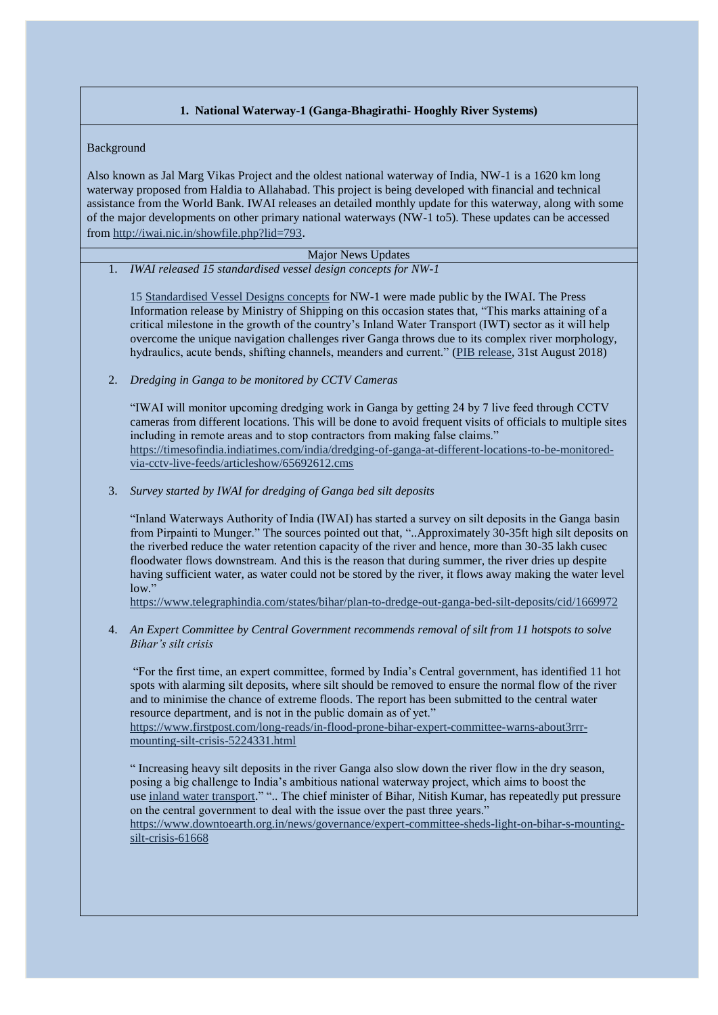## **1. National Waterway-1 (Ganga-Bhagirathi- Hooghly River Systems)**

#### <span id="page-3-0"></span>Background

Also known as Jal Marg Vikas Project and the oldest national waterway of India, NW-1 is a 1620 km long waterway proposed from Haldia to Allahabad. This project is being developed with financial and technical assistance from the World Bank. IWAI releases an detailed monthly update for this waterway, along with some of the major developments on other primary national waterways (NW-1 to5). These updates can be accessed from<http://iwai.nic.in/showfile.php?lid=793>.

Major News Updates 1. *IWAI released 15 standardised vessel design concepts for NW-1*

1[5 Standardised Vessel Designs concepts](http://iwai.nic.in/index1.php?lang=1&level=0&linkid=159&lid=1534) for NW-1 were made public by the IWAI. The Press Information release by Ministry of Shipping on this occasion states that, "This marks attaining of a critical milestone in the growth of the country's Inland Water Transport (IWT) sector as it will help overcome the unique navigation challenges river Ganga throws due to its complex river morphology, hydraulics, acute bends, shifting channels, meanders and current." [\(PIB release,](http://pib.nic.in/PressReleseDetail.aspx?PRID=1541304) 31st August 2018)

2. *Dredging in Ganga to be monitored by CCTV Cameras*

"IWAI will monitor upcoming dredging work in Ganga by getting 24 by 7 live feed through CCTV cameras from different locations. This will be done to avoid frequent visits of officials to multiple sites including in remote areas and to stop contractors from making false claims." [https://timesofindia.indiatimes.com/india/dredging-of-ganga-at-different-locations-to-be-monitored](https://timesofindia.indiatimes.com/india/dredging-of-ganga-at-different-locations-to-be-monitored-via-cctv-live-feeds/articleshow/65692612.cms)[via-cctv-live-feeds/articleshow/65692612.cms](https://timesofindia.indiatimes.com/india/dredging-of-ganga-at-different-locations-to-be-monitored-via-cctv-live-feeds/articleshow/65692612.cms)

3. *Survey started by IWAI for dredging of Ganga bed silt deposits* 

"Inland Waterways Authority of India (IWAI) has started a survey on silt deposits in the Ganga basin from Pirpainti to Munger." The sources pointed out that, "..Approximately 30-35ft high silt deposits on the riverbed reduce the water retention capacity of the river and hence, more than 30-35 lakh cusec floodwater flows downstream. And this is the reason that during summer, the river dries up despite having sufficient water, as water could not be stored by the river, it flows away making the water level low."

<https://www.telegraphindia.com/states/bihar/plan-to-dredge-out-ganga-bed-silt-deposits/cid/1669972>

4. *An Expert Committee by Central Government recommends removal of silt from 11 hotspots to solve Bihar's silt crisis*

"For the first time, an expert committee, formed by India's Central government, has identified 11 hot spots with alarming silt deposits, where silt should be removed to ensure the normal flow of the river and to minimise the chance of extreme floods. The report has been submitted to the central water resource department, and is not in the public domain as of yet."

[https://www.firstpost.com/long-reads/in-flood-prone-bihar-expert-committee-warns-about3rrr](https://www.firstpost.com/long-reads/in-flood-prone-bihar-expert-committee-warns-about3rrr-mounting-silt-crisis-5224331.html)[mounting-silt-crisis-5224331.html](https://www.firstpost.com/long-reads/in-flood-prone-bihar-expert-committee-warns-about3rrr-mounting-silt-crisis-5224331.html)

" Increasing heavy silt deposits in the river Ganga also slow down the river flow in the dry season, posing a big challenge to India's ambitious national waterway project, which aims to boost the use [inland water transport.](https://www.thethirdpole.net/en/2017/11/09/indias-national-waterways-impacts-on-rivers-ecology-and-livelihoods-must-be-addressed/https:/www.thethirdpole.net/en/2017/11/09/indias-national-waterways-impacts-on-rivers-ecology-and-livelihoods-must-be-addressed)" ".. The chief minister of Bihar, Nitish Kumar, has repeatedly put pressure on the central government to deal with the issue over the past three years."

[https://www.downtoearth.org.in/news/governance/expert-committee-sheds-light-on-bihar-s-mounting](https://www.downtoearth.org.in/news/governance/expert-committee-sheds-light-on-bihar-s-mounting-silt-crisis-61668)[silt-crisis-61668](https://www.downtoearth.org.in/news/governance/expert-committee-sheds-light-on-bihar-s-mounting-silt-crisis-61668)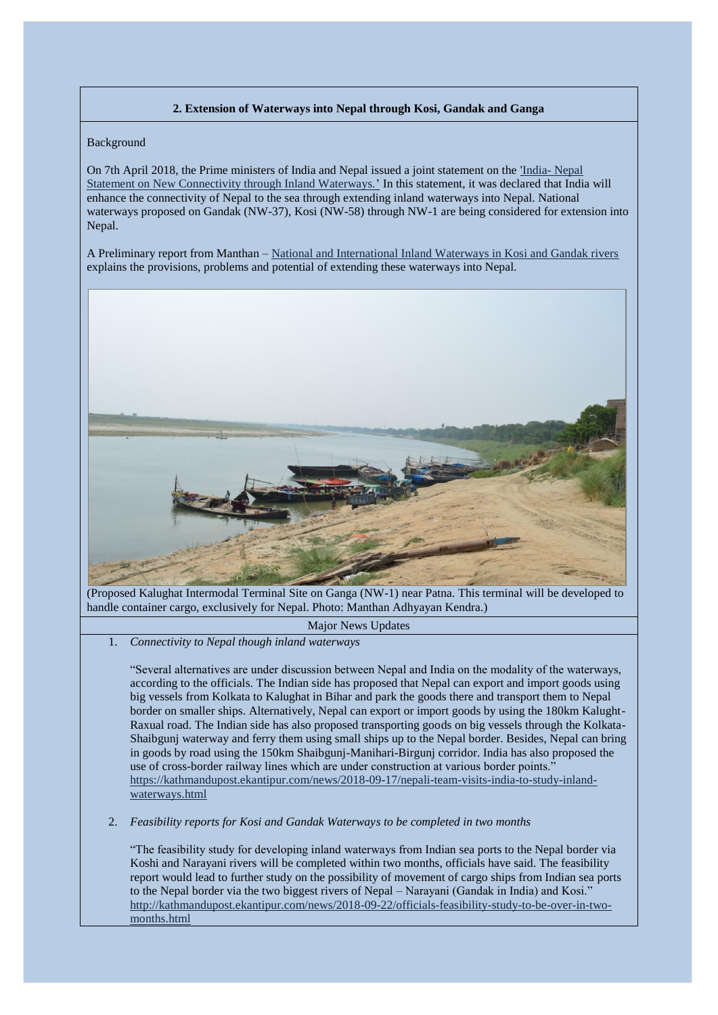# **2. Extension of Waterways into Nepal through Kosi, Gandak and Ganga**

#### <span id="page-4-0"></span>Background

On 7th April 2018, the Prime ministers of India and Nepal issued a joint statement on the ['India-](http://pibphoto.nic.in/documents/rlink/2018/apr/p20184703.pdf) Nepal [Statement on New Connectivity through Inland Waterways.'](http://pibphoto.nic.in/documents/rlink/2018/apr/p20184703.pdf) In this statement, it was declared that India will enhance the connectivity of Nepal to the sea through extending inland waterways into Nepal. National waterways proposed on Gandak (NW-37), Kosi (NW-58) through NW-1 are being considered for extension into Nepal.

A Preliminary report from Manthan – [National and International Inland Waterways in Kosi and Gandak rivers](http://www.manthan-india.org/wp-content/uploads/2018/07/Kosi-and-Gandak-Report-min.pdf) explains the provisions, problems and potential of extending these waterways into Nepal.



(Proposed Kalughat Intermodal Terminal Site on Ganga (NW-1) near Patna. This terminal will be developed to handle container cargo, exclusively for Nepal. Photo: Manthan Adhyayan Kendra.)

## Major News Updates

1. *Connectivity to Nepal though inland waterways*

"Several alternatives are under discussion between Nepal and India on the modality of the waterways, according to the officials. The Indian side has proposed that Nepal can export and import goods using big vessels from Kolkata to Kalughat in Bihar and park the goods there and transport them to Nepal border on smaller ships. Alternatively, Nepal can export or import goods by using the 180km Kalught-Raxual road. The Indian side has also proposed transporting goods on big vessels through the Kolkata-Shaibgunj waterway and ferry them using small ships up to the Nepal border. Besides, Nepal can bring in goods by road using the 150km Shaibgunj-Manihari-Birgunj corridor. India has also proposed the use of cross-border railway lines which are under construction at various border points." [https://kathmandupost.ekantipur.com/news/2018-09-17/nepali-team-visits-india-to-study-inland](https://kathmandupost.ekantipur.com/news/2018-09-17/nepali-team-visits-india-to-study-inland-waterways.html)[waterways.html](https://kathmandupost.ekantipur.com/news/2018-09-17/nepali-team-visits-india-to-study-inland-waterways.html)

#### 2. *Feasibility reports for Kosi and Gandak Waterways to be completed in two months*

"The feasibility study for developing inland waterways from Indian sea ports to the Nepal border via Koshi and Narayani rivers will be completed within two months, officials have said. The feasibility report would lead to further study on the possibility of movement of cargo ships from Indian sea ports to the Nepal border via the two biggest rivers of Nepal – Narayani (Gandak in India) and Kosi." [http://kathmandupost.ekantipur.com/news/2018-09-22/officials-feasibility-study-to-be-over-in-two](http://kathmandupost.ekantipur.com/news/2018-09-22/officials-feasibility-study-to-be-over-in-two-months.html)[months.html](http://kathmandupost.ekantipur.com/news/2018-09-22/officials-feasibility-study-to-be-over-in-two-months.html)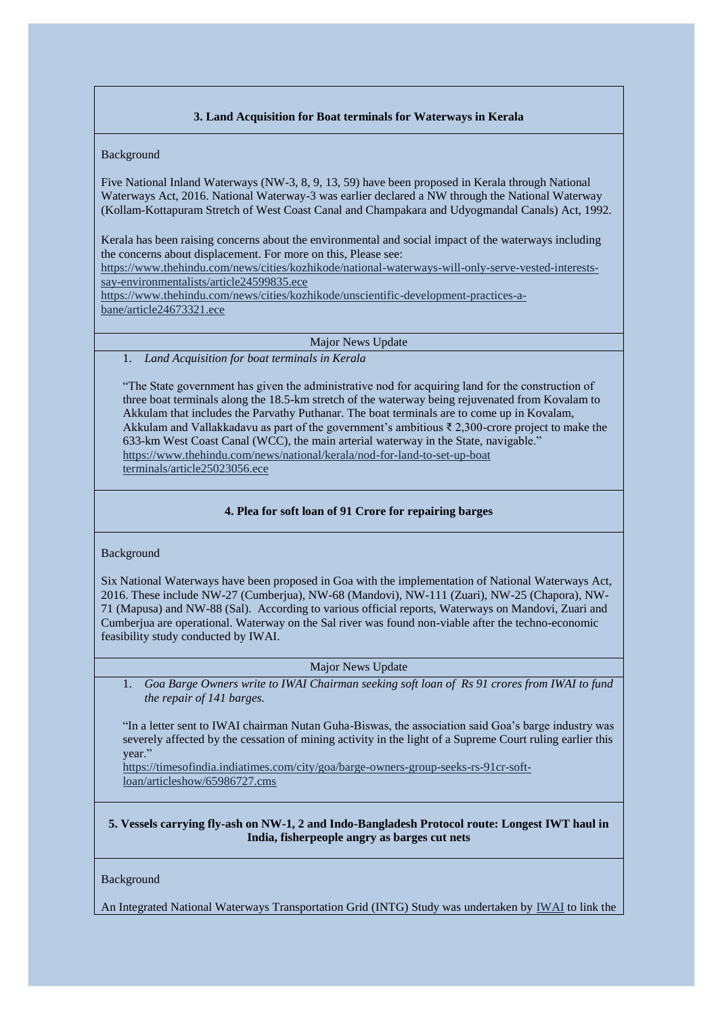# **3. Land Acquisition for Boat terminals for Waterways in Kerala**

# <span id="page-5-0"></span>Background

Five National Inland Waterways (NW-3, 8, 9, 13, 59) have been proposed in Kerala through National Waterways Act, 2016. National Waterway-3 was earlier declared a NW through the National Waterway (Kollam-Kottapuram Stretch of West Coast Canal and Champakara and Udyogmandal Canals) Act, 1992.

Kerala has been raising concerns about the environmental and social impact of the waterways including the concerns about displacement. For more on this, Please see:

[https://www.thehindu.com/news/cities/kozhikode/national-waterways-will-only-serve-vested-interests](https://www.thehindu.com/news/cities/kozhikode/national-waterways-will-only-serve-vested-interests-say-environmentalists/article24599835.ece)[say-environmentalists/article24599835.ece](https://www.thehindu.com/news/cities/kozhikode/national-waterways-will-only-serve-vested-interests-say-environmentalists/article24599835.ece)

[https://www.thehindu.com/news/cities/kozhikode/unscientific-development-practices-a](https://www.thehindu.com/news/cities/kozhikode/unscientific-development-practices-a-bane/article24673321.ece)[bane/article24673321.ece](https://www.thehindu.com/news/cities/kozhikode/unscientific-development-practices-a-bane/article24673321.ece)

Major News Update

1. *Land Acquisition for boat terminals in Kerala*

"The State government has given the administrative nod for acquiring land for the construction of three boat terminals along the 18.5-km stretch of the waterway being rejuvenated from Kovalam to Akkulam that includes the Parvathy Puthanar. The boat terminals are to come up in Kovalam, Akkulam and Vallakkadavu as part of the government's ambitious ₹ 2,300-crore project to make the 633-km West Coast Canal (WCC), the main arterial waterway in the State, navigable." [https://www.thehindu.com/news/national/kerala/nod-for-land-to-set-up-boat](https://www.thehindu.com/news/national/kerala/nod-for-land-to-set-up-boat%20terminals/article25023056.ece)  [terminals/article25023056.ece](https://www.thehindu.com/news/national/kerala/nod-for-land-to-set-up-boat%20terminals/article25023056.ece)

# **4. Plea for soft loan of 91 Crore for repairing barges**

## <span id="page-5-1"></span>Background

Six National Waterways have been proposed in Goa with the implementation of National Waterways Act, 2016. These include NW-27 (Cumberjua), NW-68 (Mandovi), NW-111 (Zuari), NW-25 (Chapora), NW-71 (Mapusa) and NW-88 (Sal). According to various official reports, Waterways on Mandovi, Zuari and Cumberjua are operational. Waterway on the Sal river was found non-viable after the techno-economic feasibility study conducted by IWAI.

# Major News Update

1. *Goa Barge Owners write to IWAI Chairman seeking soft loan of Rs 91 crores from IWAI to fund the repair of 141 barges.* 

"In a letter sent to IWAI chairman Nutan Guha-Biswas, the association said Goa's barge industry was severely affected by the cessation of mining activity in the light of a Supreme Court ruling earlier this year."

[https://timesofindia.indiatimes.com/city/goa/barge-owners-group-seeks-rs-91cr-soft](https://timesofindia.indiatimes.com/city/goa/barge-owners-group-seeks-rs-91cr-soft-loan/articleshow/65986727.cms)[loan/articleshow/65986727.cms](https://timesofindia.indiatimes.com/city/goa/barge-owners-group-seeks-rs-91cr-soft-loan/articleshow/65986727.cms)

<span id="page-5-2"></span>**5. Vessels carrying fly-ash on NW-1, 2 and Indo-Bangladesh Protocol route: Longest IWT haul in India, fisherpeople angry as barges cut nets**

## Background

An Integrated National Waterways Transportation Grid (INTG) Study was undertaken by [IWAI](http://iwai.nic.in/showfile.php?lid=820) to link the